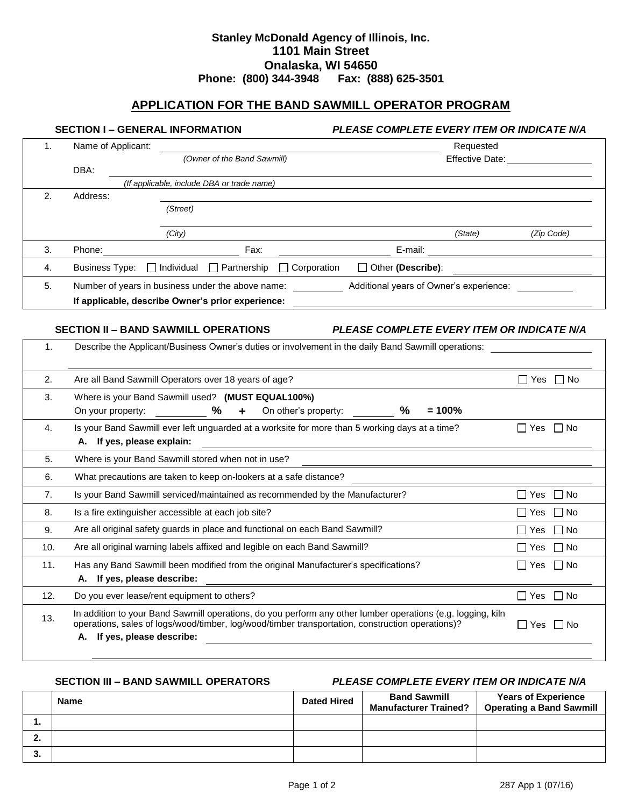# **Stanley McDonald Agency of Illinois, Inc. 1101 Main Street Onalaska, WI 54650 Phone: (800) 344-3948 Fax: (888) 625-3501**

# **APPLICATION FOR THE BAND SAWMILL OPERATOR PROGRAM**

# **SECTION I – GENERAL INFORMATION** *PLEASE COMPLETE EVERY ITEM OR INDICATE N/A*

| 1. | Name of Applicant:                                |                             |                                            |                    | Requested                               |         |            |
|----|---------------------------------------------------|-----------------------------|--------------------------------------------|--------------------|-----------------------------------------|---------|------------|
|    |                                                   | (Owner of the Band Sawmill) |                                            |                    | Effective Date:                         |         |            |
|    | DBA:                                              |                             |                                            |                    |                                         |         |            |
|    |                                                   |                             | (If applicable, include DBA or trade name) |                    |                                         |         |            |
| 2. | Address:                                          |                             |                                            |                    |                                         |         |            |
|    |                                                   | (Street)                    |                                            |                    |                                         |         |            |
|    |                                                   |                             |                                            |                    |                                         |         |            |
|    |                                                   | (City)                      |                                            |                    |                                         | (State) | (Zip Code) |
| 3. | Phone:                                            |                             | Fax:                                       |                    | E-mail:                                 |         |            |
| 4. | <b>Business Type:</b>                             | $\Box$ Individual           | $\Box$ Partnership                         | $\Box$ Corporation | Other (Describe):                       |         |            |
| 5. | Number of years in business under the above name: |                             |                                            |                    | Additional years of Owner's experience: |         |            |
|    | If applicable, describe Owner's prior experience: |                             |                                            |                    |                                         |         |            |
|    |                                                   |                             |                                            |                    |                                         |         |            |

**SECTION II – BAND SAWMILL OPERATIONS** *PLEASE COMPLETE EVERY ITEM OR INDICATE N/A*

| 1.  | Describe the Applicant/Business Owner's duties or involvement in the daily Band Sawmill operations:                                                                                                                                               |                                  |  |  |  |  |
|-----|---------------------------------------------------------------------------------------------------------------------------------------------------------------------------------------------------------------------------------------------------|----------------------------------|--|--|--|--|
| 2.  | Are all Band Sawmill Operators over 18 years of age?                                                                                                                                                                                              | $\Box$ No<br>l Yes               |  |  |  |  |
| 3.  | Where is your Band Sawmill used? (MUST EQUAL100%)<br>℅<br>On other's property:<br>℅<br>$= 100%$<br>On your property:                                                                                                                              |                                  |  |  |  |  |
| 4.  | Is your Band Sawmill ever left unguarded at a worksite for more than 5 working days at a time?<br>A. If yes, please explain:                                                                                                                      | $\Box$ Yes<br>No<br>$\mathsf{L}$ |  |  |  |  |
| 5.  | Where is your Band Sawmill stored when not in use?                                                                                                                                                                                                |                                  |  |  |  |  |
| 6.  | What precautions are taken to keep on-lookers at a safe distance?                                                                                                                                                                                 |                                  |  |  |  |  |
| 7.  | Is your Band Sawmill serviced/maintained as recommended by the Manufacturer?                                                                                                                                                                      | $\Box$ Yes<br>l I No             |  |  |  |  |
| 8.  | Is a fire extinguisher accessible at each job site?                                                                                                                                                                                               | l No<br>l I Yes                  |  |  |  |  |
| 9.  | Are all original safety guards in place and functional on each Band Sawmill?                                                                                                                                                                      | l No<br>l I Yes                  |  |  |  |  |
| 10. | Are all original warning labels affixed and legible on each Band Sawmill?                                                                                                                                                                         | ∣ I Yes<br>I No                  |  |  |  |  |
| 11. | Has any Band Sawmill been modified from the original Manufacturer's specifications?<br>A. If yes, please describe:                                                                                                                                | l I No<br>l I Yes                |  |  |  |  |
| 12. | Do you ever lease/rent equipment to others?                                                                                                                                                                                                       | $\Box$ No<br>$\Box$ Yes          |  |  |  |  |
| 13. | In addition to your Band Sawmill operations, do you perform any other lumber operations (e.g. logging, kiln<br>operations, sales of logs/wood/timber, log/wood/timber transportation, construction operations)?<br>If yes, please describe:<br>А. | Yes<br>l I No<br>$\perp$         |  |  |  |  |
|     |                                                                                                                                                                                                                                                   |                                  |  |  |  |  |

### **SECTION III – BAND SAWMILL OPERATORS** *PLEASE COMPLETE EVERY ITEM OR INDICATE N/A*

|          | <b>Name</b> | <b>Dated Hired</b> | <b>Band Sawmill</b><br><b>Manufacturer Trained?</b> | <b>Years of Experience</b><br><b>Operating a Band Sawmill</b> |
|----------|-------------|--------------------|-----------------------------------------------------|---------------------------------------------------------------|
|          |             |                    |                                                     |                                                               |
| <u>.</u> |             |                    |                                                     |                                                               |
| o.       |             |                    |                                                     |                                                               |